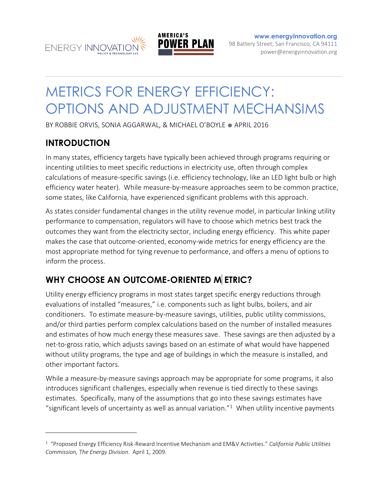



**[www.energyinnovation.org](http://www.energyinnovation.org/)** 98 Battery Street; San Francisco, CA 94111 power@energyinnovation.org

# METRICS FOR ENERGY EFFICIENCY: OPTIONS AND ADJUSTMENT MECHANSIMS

BY ROBBIE ORVIS, SONIA AGGARWAL, & MICHAEL O'BOYLE ● APRIL 2016

## **INTRODUCTION**

 $\overline{a}$ 

In many states, efficiency targets have typically been achieved through programs requiring or incenting utilities to meet specific reductions in electricity use, often through complex calculations of measure-specific savings (i.e. efficiency technology, like an LED light bulb or high efficiency water heater). While measure-by-measure approaches seem to be common practice, some states, like California, have experienced significant problems with this approach.

As states consider fundamental changes in the utility revenue model, in particular linking utility performance to compensation, regulators will have to choose which metrics best track the outcomes they want from the electricity sector, including energy efficiency. This white paper makes the case that outcome-oriented, economy-wide metrics for energy efficiency are the most appropriate method for tying revenue to performance, and offers a menu of options to inform the process.

# **WHY CHOOSE AN OUTCOME-ORIENTED M ETRIC?**

Utility energy efficiency programs in most states target specific energy reductions through evaluations of installed "measures," i.e. components such as light bulbs, boilers, and air conditioners. To estimate measure-by-measure savings, utilities, public utility commissions, and/or third parties perform complex calculations based on the number of installed measures and estimates of how much energy these measures save. These savings are then adjusted by a net-to-gross ratio, which adjusts savings based on an estimate of what would have happened without utility programs, the type and age of buildings in which the measure is installed, and other important factors.

While a measure-by-measure savings approach may be appropriate for some programs, it also introduces significant challenges, especially when revenue is tied directly to these savings estimates. Specifically, many of the assumptions that go into these savings estimates have "significant levels of uncertainty as well as annual variation." $1$  When utility incentive payments

<sup>1</sup> "Proposed Energy Efficiency Risk-Reward Incentive Mechanism and EM&V Activities." *California Public Utilities Commission, The Energy Division*. April 1, 2009.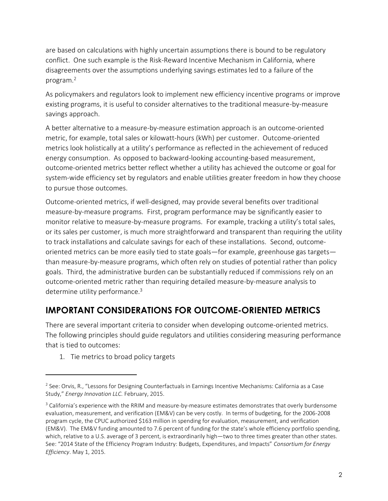are based on calculations with highly uncertain assumptions there is bound to be regulatory conflict. One such example is the Risk-Reward Incentive Mechanism in California, where disagreements over the assumptions underlying savings estimates led to a failure of the program. 2

As policymakers and regulators look to implement new efficiency incentive programs or improve existing programs, it is useful to consider alternatives to the traditional measure-by-measure savings approach.

A better alternative to a measure-by-measure estimation approach is an outcome-oriented metric, for example, total sales or kilowatt-hours (kWh) per customer. Outcome-oriented metrics look holistically at a utility's performance as reflected in the achievement of reduced energy consumption. As opposed to backward-looking accounting-based measurement, outcome-oriented metrics better reflect whether a utility has achieved the outcome or goal for system-wide efficiency set by regulators and enable utilities greater freedom in how they choose to pursue those outcomes.

Outcome-oriented metrics, if well-designed, may provide several benefits over traditional measure-by-measure programs. First, program performance may be significantly easier to monitor relative to measure-by-measure programs. For example, tracking a utility's total sales, or its sales per customer, is much more straightforward and transparent than requiring the utility to track installations and calculate savings for each of these installations. Second, outcomeoriented metrics can be more easily tied to state goals—for example, greenhouse gas targets than measure-by-measure programs, which often rely on studies of potential rather than policy goals. Third, the administrative burden can be substantially reduced if commissions rely on an outcome-oriented metric rather than requiring detailed measure-by-measure analysis to determine utility performance.<sup>3</sup>

# **IMPORTANT CONSIDERATIONS FOR OUTCOME-ORIENTED METRICS**

There are several important criteria to consider when developing outcome-oriented metrics. The following principles should guide regulators and utilities considering measuring performance that is tied to outcomes:

1. Tie metrics to broad policy targets

<sup>&</sup>lt;sup>2</sup> See: Orvis, R., "Lessons for Designing Counterfactuals in Earnings Incentive Mechanisms: California as a Case Study," *Energy Innovation LLC.* February, 2015.

<sup>&</sup>lt;sup>3</sup> California's experience with the RRIM and measure-by-measure estimates demonstrates that overly burdensome evaluation, measurement, and verification (EM&V) can be very costly. In terms of budgeting, for the 2006-2008 program cycle, the CPUC authorized \$163 million in spending for evaluation, measurement, and verification (EM&V). The EM&V funding amounted to 7.6 percent of funding for the state's whole efficiency portfolio spending, which, relative to a U.S. average of 3 percent, is extraordinarily high—two to three times greater than other states. See: "2014 State of the Efficiency Program Industry: Budgets, Expenditures, and Impacts" *Consortium for Energy Efficiency*. May 1, 2015.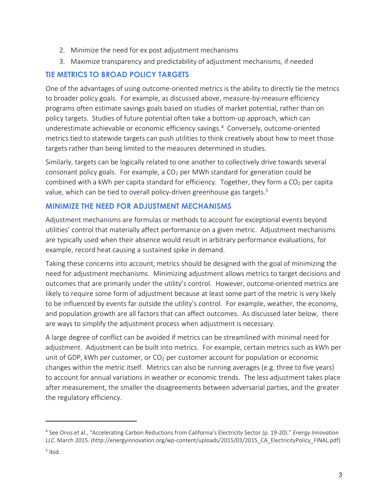- 2. Minimize the need for ex post adjustment mechanisms
- 3. Maximize transparency and predictability of adjustment mechanisms, if needed

## **TIE METRICS TO BROAD POLICY TARGETS**

One of the advantages of using outcome-oriented metrics is the ability to directly tie the metrics to broader policy goals. For example, as discussed above, measure-by-measure efficiency programs often estimate savings goals based on studies of market potential, rather than on policy targets. Studies of future potential often take a bottom-up approach, which can underestimate achievable or economic efficiency savings.<sup>4</sup> Conversely, outcome-oriented metrics tied to statewide targets can push utilities to think creatively about how to meet those targets rather than being limited to the measures determined in studies.

Similarly, targets can be logically related to one another to collectively drive towards several consonant policy goals. For example, a  $CO<sub>2</sub>$  per MWh standard for generation could be combined with a kWh per capita standard for efficiency. Together, they form a  $CO<sub>2</sub>$  per capita value, which can be tied to overall policy-driven greenhouse gas targets.<sup>5</sup>

#### **MINIMIZE THE NEED FOR ADJUSTMENT MECHANISMS**

Adjustment mechanisms are formulas or methods to account for exceptional events beyond utilities' control that materially affect performance on a given metric. Adjustment mechanisms are typically used when their absence would result in arbitrary performance evaluations, for example, record heat causing a sustained spike in demand.

Taking these concerns into account, metrics should be designed with the goal of minimizing the need for adjustment mechanisms. Minimizing adjustment allows metrics to target decisions and outcomes that are primarily under the utility's control. However, outcome-oriented metrics are likely to require some form of adjustment because at least some part of the metric is very likely to be influenced by events far outside the utility's control. For example, weather, the economy, and population growth are all factors that can affect outcomes. As discussed later below, there are ways to simplify the adjustment process when adjustment is necessary.

A large degree of conflict can be avoided if metrics can be streamlined with minimal need for adjustment. Adjustment can be built into metrics. For example, certain metrics such as kWh per unit of GDP, kWh per customer, or  $CO<sub>2</sub>$  per customer account for population or economic changes within the metric itself. Metrics can also be running averages (e.g. three to five years) to account for annual variations in weather or economic trends. The less adjustment takes place after measurement, the smaller the disagreements between adversarial parties, and the greater the regulatory efficiency.

<sup>4</sup> See Orvis et al., "Accelerating Carbon Reductions from California's Electricity Sector (p. 19-20)." *Energy Innovation LLC.* March 2015. (http://energyinnovation.org/wp-content/uploads/2015/03/2015\_CA\_ElectricityPolicy\_FINAL.pdf)

<sup>&</sup>lt;sup>5</sup> Ibid.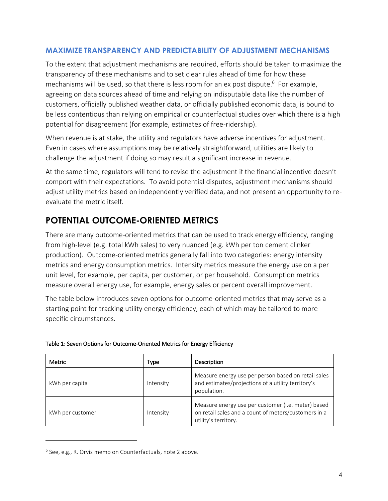#### **MAXIMIZE TRANSPARENCY AND PREDICTABILITY OF ADJUSTMENT MECHANISMS**

To the extent that adjustment mechanisms are required, efforts should be taken to maximize the transparency of these mechanisms and to set clear rules ahead of time for how these mechanisms will be used, so that there is less room for an ex post dispute. <sup>6</sup> For example, agreeing on data sources ahead of time and relying on indisputable data like the number of customers, officially published weather data, or officially published economic data, is bound to be less contentious than relying on empirical or counterfactual studies over which there is a high potential for disagreement (for example, estimates of free-ridership).

When revenue is at stake, the utility and regulators have adverse incentives for adjustment. Even in cases where assumptions may be relatively straightforward, utilities are likely to challenge the adjustment if doing so may result a significant increase in revenue.

At the same time, regulators will tend to revise the adjustment if the financial incentive doesn't comport with their expectations. To avoid potential disputes, adjustment mechanisms should adjust utility metrics based on independently verified data, and not present an opportunity to reevaluate the metric itself.

# **POTENTIAL OUTCOME-ORIENTED METRICS**

There are many outcome-oriented metrics that can be used to track energy efficiency, ranging from high-level (e.g. total kWh sales) to very nuanced (e.g. kWh per ton cement clinker production). Outcome-oriented metrics generally fall into two categories: energy intensity metrics and energy consumption metrics. Intensity metrics measure the energy use on a per unit level, for example, per capita, per customer, or per household. Consumption metrics measure overall energy use, for example, energy sales or percent overall improvement.

The table below introduces seven options for outcome-oriented metrics that may serve as a starting point for tracking utility energy efficiency, each of which may be tailored to more specific circumstances.

| <b>Metric</b>    | Type      | Description                                                                                                                        |
|------------------|-----------|------------------------------------------------------------------------------------------------------------------------------------|
| kWh per capita   | Intensity | Measure energy use per person based on retail sales<br>and estimates/projections of a utility territory's<br>population.           |
| kWh per customer | Intensity | Measure energy use per customer (i.e. meter) based<br>on retail sales and a count of meters/customers in a<br>utility's territory. |

|  | Table 1: Seven Options for Outcome-Oriented Metrics for Energy Efficiency |  |  |
|--|---------------------------------------------------------------------------|--|--|

<sup>&</sup>lt;sup>6</sup> See, e.g., R. Orvis memo on Counterfactuals, note 2 above.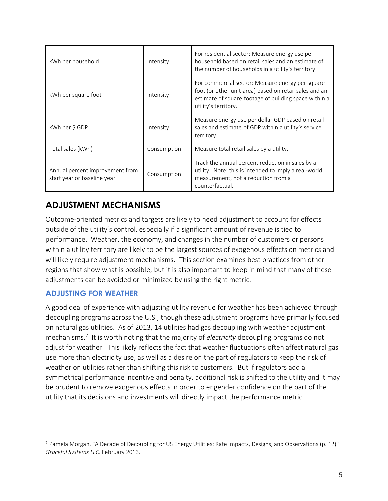| kWh per household                                              | Intensity   | For residential sector: Measure energy use per<br>household based on retail sales and an estimate of<br>the number of households in a utility's territory                                   |
|----------------------------------------------------------------|-------------|---------------------------------------------------------------------------------------------------------------------------------------------------------------------------------------------|
| kWh per square foot                                            | Intensity   | For commercial sector: Measure energy per square<br>foot (or other unit area) based on retail sales and an<br>estimate of square footage of building space within a<br>utility's territory. |
| kWh per \$ GDP                                                 | Intensity   | Measure energy use per dollar GDP based on retail<br>sales and estimate of GDP within a utility's service<br>territory.                                                                     |
| Total sales (kWh)                                              | Consumption | Measure total retail sales by a utility.                                                                                                                                                    |
| Annual percent improvement from<br>start year or baseline year | Consumption | Track the annual percent reduction in sales by a<br>utility. Note: this is intended to imply a real-world<br>measurement, not a reduction from a<br>counterfactual.                         |

## **ADJUSTMENT MECHANISMS**

Outcome-oriented metrics and targets are likely to need adjustment to account for effects outside of the utility's control, especially if a significant amount of revenue is tied to performance. Weather, the economy, and changes in the number of customers or persons within a utility territory are likely to be the largest sources of exogenous effects on metrics and will likely require adjustment mechanisms. This section examines best practices from other regions that show what is possible, but it is also important to keep in mind that many of these adjustments can be avoided or minimized by using the right metric.

## **ADJUSTING FOR WEATHER**

 $\overline{a}$ 

A good deal of experience with adjusting utility revenue for weather has been achieved through decoupling programs across the U.S., though these adjustment programs have primarily focused on natural gas utilities. As of 2013, 14 utilities had gas decoupling with weather adjustment mechanisms.<sup>7</sup> It is worth noting that the majority of *electricity* decoupling programs do not adjust for weather. This likely reflects the fact that weather fluctuations often affect natural gas use more than electricity use, as well as a desire on the part of regulators to keep the risk of weather on utilities rather than shifting this risk to customers. But if regulators add a symmetrical performance incentive and penalty, additional risk is shifted to the utility and it may be prudent to remove exogenous effects in order to engender confidence on the part of the utility that its decisions and investments will directly impact the performance metric.

 $^7$  Pamela Morgan. "A Decade of Decoupling for US Energy Utilities: Rate Impacts, Designs, and Observations (p. 12)" *Graceful Systems LLC*. February 2013.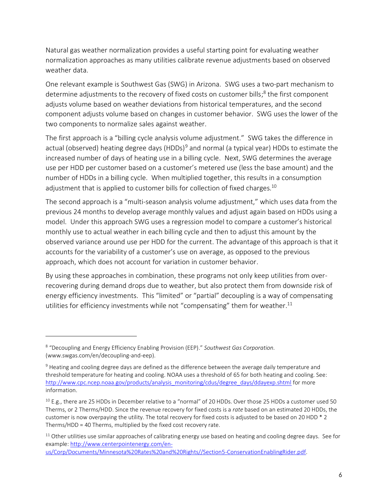Natural gas weather normalization provides a useful starting point for evaluating weather normalization approaches as many utilities calibrate revenue adjustments based on observed weather data.

One relevant example is Southwest Gas (SWG) in Arizona. SWG uses a two-part mechanism to determine adjustments to the recovery of fixed costs on customer bills;<sup>8</sup> the first component adjusts volume based on weather deviations from historical temperatures, and the second component adjusts volume based on changes in customer behavior. SWG uses the lower of the two components to normalize sales against weather.

The first approach is a "billing cycle analysis volume adjustment." SWG takes the difference in actual (observed) heating degree days (HDDs)<sup>9</sup> and normal (a typical year) HDDs to estimate the increased number of days of heating use in a billing cycle. Next, SWG determines the average use per HDD per customer based on a customer's metered use (less the base amount) and the number of HDDs in a billing cycle. When multiplied together, this results in a consumption adjustment that is applied to customer bills for collection of fixed charges.<sup>10</sup>

The second approach is a "multi-season analysis volume adjustment," which uses data from the previous 24 months to develop average monthly values and adjust again based on HDDs using a model. Under this approach SWG uses a regression model to compare a customer's historical monthly use to actual weather in each billing cycle and then to adjust this amount by the observed variance around use per HDD for the current. The advantage of this approach is that it accounts for the variability of a customer's use on average, as opposed to the previous approach, which does not account for variation in customer behavior.

By using these approaches in combination, these programs not only keep utilities from overrecovering during demand drops due to weather, but also protect them from downside risk of energy efficiency investments. This "limited" or "partial" decoupling is a way of compensating utilities for efficiency investments while not "compensating" them for weather.<sup>11</sup>

<sup>8</sup> "Decoupling and Energy Efficiency Enabling Provision (EEP)." *Southwest Gas Corporation.*  (www.swgas.com/en/decoupling-and-eep).

<sup>&</sup>lt;sup>9</sup> Heating and cooling degree days are defined as the difference between the average daily temperature and threshold temperature for heating and cooling. NOAA uses a threshold of 65 for both heating and cooling. See: [http://www.cpc.ncep.noaa.gov/products/analysis\\_monitoring/cdus/degree\\_days/ddayexp.shtml](http://www.cpc.ncep.noaa.gov/products/analysis_monitoring/cdus/degree_days/ddayexp.shtml) for more information.

 $10$  E.g., there are 25 HDDs in December relative to a "normal" of 20 HDDs. Over those 25 HDDs a customer used 50 Therms, or 2 Therms/HDD. Since the revenue recovery for fixed costs is a *rate* based on an estimated 20 HDDs, the customer is now overpaying the utility. The total recovery for fixed costs is adjusted to be based on 20 HDD \* 2 Therms/HDD = 40 Therms, multiplied by the fixed cost recovery rate.

 $11$  Other utilities use similar approaches of calibrating energy use based on heating and cooling degree days. See for example: [http://www.centerpointenergy.com/en-](http://www.centerpointenergy.com/en-us/Corp/Documents/Minnesota%20Rates%20and%20Rights/Section5-ConservationEnablingRider.pdf)

[us/Corp/Documents/Minnesota%20Rates%20and%20Rights//Section5-ConservationEnablingRider.pdf.](http://www.centerpointenergy.com/en-us/Corp/Documents/Minnesota%20Rates%20and%20Rights/Section5-ConservationEnablingRider.pdf)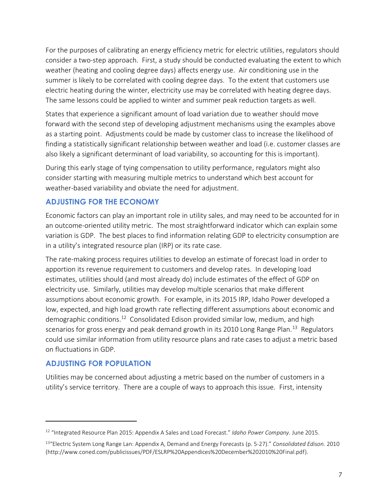For the purposes of calibrating an energy efficiency metric for electric utilities, regulators should consider a two-step approach. First, a study should be conducted evaluating the extent to which weather (heating and cooling degree days) affects energy use. Air conditioning use in the summer is likely to be correlated with cooling degree days. To the extent that customers use electric heating during the winter, electricity use may be correlated with heating degree days. The same lessons could be applied to winter and summer peak reduction targets as well.

States that experience a significant amount of load variation due to weather should move forward with the second step of developing adjustment mechanisms using the examples above as a starting point. Adjustments could be made by customer class to increase the likelihood of finding a statistically significant relationship between weather and load (i.e. customer classes are also likely a significant determinant of load variability, so accounting for this is important).

During this early stage of tying compensation to utility performance, regulators might also consider starting with measuring multiple metrics to understand which best account for weather-based variability and obviate the need for adjustment.

## **ADJUSTING FOR THE ECONOMY**

Economic factors can play an important role in utility sales, and may need to be accounted for in an outcome-oriented utility metric. The most straightforward indicator which can explain some variation is GDP. The best places to find information relating GDP to electricity consumption are in a utility's integrated resource plan (IRP) or its rate case.

The rate-making process requires utilities to develop an estimate of forecast load in order to apportion its revenue requirement to customers and develop rates. In developing load estimates, utilities should (and most already do) include estimates of the effect of GDP on electricity use. Similarly, utilities may develop multiple scenarios that make different assumptions about economic growth. For example, in its 2015 IRP, Idaho Power developed a low, expected, and high load growth rate reflecting different assumptions about economic and demographic conditions.<sup>12</sup> Consolidated Edison provided similar low, medium, and high scenarios for gross energy and peak demand growth in its 2010 Long Range Plan.<sup>13</sup> Regulators could use similar information from utility resource plans and rate cases to adjust a metric based on fluctuations in GDP.

#### **ADJUSTING FOR POPULATION**

 $\overline{a}$ 

Utilities may be concerned about adjusting a metric based on the number of customers in a utility's service territory. There are a couple of ways to approach this issue. First, intensity

<sup>12</sup> "Integrated Resource Plan 2015: Appendix A Sales and Load Forecast." *Idaho Power Company*. June 2015.

<sup>13</sup>"Electric System Long Range Lan: Appendix A, Demand and Energy Forecasts (p. 5-27)." *Consolidated Edison.* 2010 (http://www.coned.com/publicissues/PDF/ESLRP%20Appendices%20December%202010%20Final.pdf).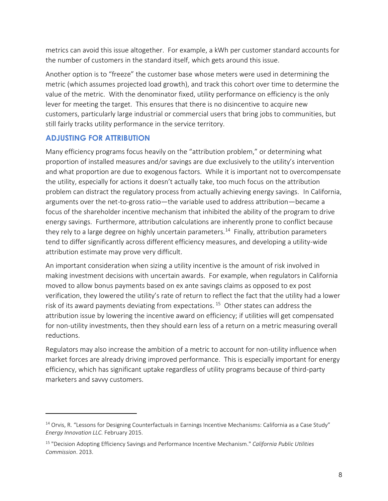metrics can avoid this issue altogether. For example, a kWh per customer standard accounts for the number of customers in the standard itself, which gets around this issue.

Another option is to "freeze" the customer base whose meters were used in determining the metric (which assumes projected load growth), and track this cohort over time to determine the value of the metric. With the denominator fixed, utility performance on efficiency is the only lever for meeting the target. This ensures that there is no disincentive to acquire new customers, particularly large industrial or commercial users that bring jobs to communities, but still fairly tracks utility performance in the service territory.

#### **ADJUSTING FOR ATTRIBUTION**

 $\overline{a}$ 

Many efficiency programs focus heavily on the "attribution problem," or determining what proportion of installed measures and/or savings are due exclusively to the utility's intervention and what proportion are due to exogenous factors. While it is important not to overcompensate the utility, especially for actions it doesn't actually take, too much focus on the attribution problem can distract the regulatory process from actually achieving energy savings. In California, arguments over the net-to-gross ratio—the variable used to address attribution—became a focus of the shareholder incentive mechanism that inhibited the ability of the program to drive energy savings. Furthermore, attribution calculations are inherently prone to conflict because they rely to a large degree on highly uncertain parameters.<sup>14</sup> Finally, attribution parameters tend to differ significantly across different efficiency measures, and developing a utility-wide attribution estimate may prove very difficult.

An important consideration when sizing a utility incentive is the amount of risk involved in making investment decisions with uncertain awards. For example, when regulators in California moved to allow bonus payments based on ex ante savings claims as opposed to ex post verification, they lowered the utility's rate of return to reflect the fact that the utility had a lower risk of its award payments deviating from expectations.<sup>15</sup> Other states can address the attribution issue by lowering the incentive award on efficiency; if utilities will get compensated for non-utility investments, then they should earn less of a return on a metric measuring overall reductions.

Regulators may also increase the ambition of a metric to account for non-utility influence when market forces are already driving improved performance. This is especially important for energy efficiency, which has significant uptake regardless of utility programs because of third-party marketers and savvy customers.

 $14$  Orvis, R. "Lessons for Designing Counterfactuals in Earnings Incentive Mechanisms: California as a Case Study" *Energy Innovation LLC.* February 2015.

<sup>15</sup> "Decision Adopting Efficiency Savings and Performance Incentive Mechanism." *California Public Utilities Commission*. 2013.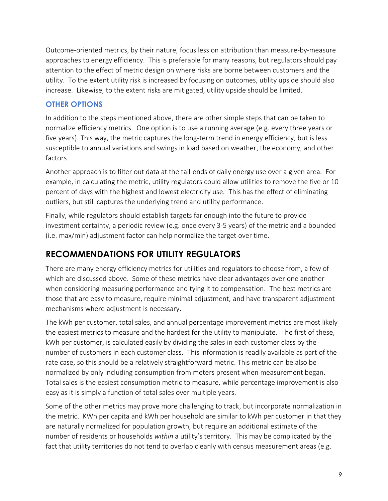Outcome-oriented metrics, by their nature, focus less on attribution than measure-by-measure approaches to energy efficiency. This is preferable for many reasons, but regulators should pay attention to the effect of metric design on where risks are borne between customers and the utility. To the extent utility risk is increased by focusing on outcomes, utility upside should also increase. Likewise, to the extent risks are mitigated, utility upside should be limited.

#### **OTHER OPTIONS**

In addition to the steps mentioned above, there are other simple steps that can be taken to normalize efficiency metrics. One option is to use a running average (e.g. every three years or five years). This way, the metric captures the long-term trend in energy efficiency, but is less susceptible to annual variations and swings in load based on weather, the economy, and other factors.

Another approach is to filter out data at the tail-ends of daily energy use over a given area. For example, in calculating the metric, utility regulators could allow utilities to remove the five or 10 percent of days with the highest and lowest electricity use. This has the effect of eliminating outliers, but still captures the underlying trend and utility performance.

Finally, while regulators should establish targets far enough into the future to provide investment certainty, a periodic review (e.g. once every 3-5 years) of the metric and a bounded (i.e. max/min) adjustment factor can help normalize the target over time.

## **RECOMMENDATIONS FOR UTILITY REGULATORS**

There are many energy efficiency metrics for utilities and regulators to choose from, a few of which are discussed above. Some of these metrics have clear advantages over one another when considering measuring performance and tying it to compensation. The best metrics are those that are easy to measure, require minimal adjustment, and have transparent adjustment mechanisms where adjustment is necessary.

The kWh per customer, total sales, and annual percentage improvement metrics are most likely the easiest metrics to measure and the hardest for the utility to manipulate. The first of these, kWh per customer, is calculated easily by dividing the sales in each customer class by the number of customers in each customer class. This information is readily available as part of the rate case, so this should be a relatively straightforward metric. This metric can be also be normalized by only including consumption from meters present when measurement began. Total sales is the easiest consumption metric to measure, while percentage improvement is also easy as it is simply a function of total sales over multiple years.

Some of the other metrics may prove more challenging to track, but incorporate normalization in the metric. KWh per capita and kWh per household are similar to kWh per customer in that they are naturally normalized for population growth, but require an additional estimate of the number of residents or households *within* a utility's territory. This may be complicated by the fact that utility territories do not tend to overlap cleanly with census measurement areas (e.g.